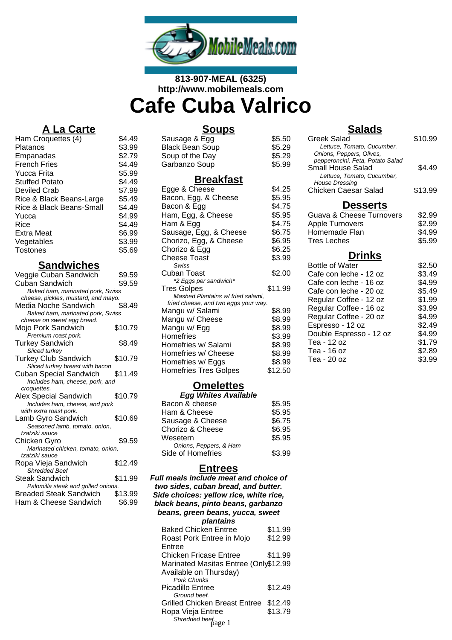

# **813-907-MEAL (6325) http://www.mobilemeals.com Cafe Cuba Valrico**

# **A La Carte**

| Ham Croquettes (4)       | \$4.49 |
|--------------------------|--------|
| Platanos                 | \$3.99 |
| Empanadas                | \$2.79 |
| <b>French Fries</b>      | \$4.49 |
| Yucca Frita              | \$5.99 |
| <b>Stuffed Potato</b>    | \$4.49 |
| Deviled Crab             | \$7.99 |
| Rice & Black Beans-Large | \$5.49 |
| Rice & Black Beans-Small | \$4.49 |
| Yucca                    | \$4.99 |
| Rice                     | \$4.49 |
| Extra Meat               | \$6.99 |
| Vegetables               | \$3.99 |
| Tostones                 | \$5.69 |
|                          |        |

### **Sandwiches**

| Veggie Cuban Sandwich               | \$9.59  |
|-------------------------------------|---------|
| Cuban Sandwich                      | \$9.59  |
| Baked ham, marinated pork, Swiss    |         |
| cheese, pickles, mustard, and mayo. |         |
| Media Noche Sandwich                | \$8.49  |
| Baked ham, marinated pork, Swiss    |         |
| cheese on sweet egg bread.          |         |
| Mojo Pork Sandwich                  | \$10.79 |
| Premium roast pork.                 |         |
| <b>Turkey Sandwich</b>              | \$8.49  |
| Sliced turkey                       |         |
| <b>Turkey Club Sandwich</b>         | \$10.79 |
| Sliced turkey breast with bacon     |         |
| <b>Cuban Special Sandwich</b>       | \$11.49 |
| Includes ham, cheese, pork, and     |         |
| croquettes.                         |         |
| <b>Alex Special Sandwich</b>        | \$10.79 |
| Includes ham, cheese, and pork      |         |
| with extra roast pork.              |         |
| Lamb Gyro Sandwich                  | \$10.69 |
| Seasoned lamb, tomato, onion,       |         |
| tzatziki sauce                      |         |
| Chicken Gyro                        | \$9.59  |
| Marinated chicken, tomato, onion,   |         |
| tzatziki sauce                      |         |
| Ropa Vieja Sandwich                 | \$12.49 |
| <b>Shredded Beef</b>                |         |
| Steak Sandwich                      | \$11.99 |
| Palomilla steak and grilled onions. |         |
| <b>Breaded Steak Sandwich</b>       | \$13.99 |
| Ham & Cheese Sandwich               | \$6.99  |
|                                     |         |

### **Soups**

#### Sausage & Egg \$5.50 Black Bean Soup **\$5.29** Black Bean Soup<br>
Soup of the Day<br>
Garbanzo Soup<br>
St.29<br>
Sarbanzo Soup<br>
St.99 Garbanzo Soup

### **Breakfast**

| Egge & Cheese                                                            | \$4.25  |
|--------------------------------------------------------------------------|---------|
| Bacon, Egg, & Cheese                                                     | \$5.95  |
| Bacon & Egg                                                              | \$4.75  |
| Ham, Egg, & Cheese                                                       | \$5.95  |
| Ham & Egg                                                                | \$4.75  |
| Sausage, Egg, & Cheese                                                   | \$6.75  |
| Chorizo, Egg, & Cheese                                                   | \$6.95  |
| Chorizo & Egg                                                            | \$6.25  |
| Cheese Toast                                                             | \$3.99  |
| Swiss                                                                    |         |
| Cuban Toast                                                              | \$2.00  |
| *2 Eggs per sandwich*                                                    |         |
| <b>Tres Golpes</b>                                                       | \$11.99 |
| Mashed Plantains w/fried salami,<br>fried cheese, and two eggs your way. |         |
| Mangu w/ Salami                                                          | \$8.99  |
| Mangu w/ Cheese                                                          | \$8.99  |
| Mangu w/ Egg                                                             | \$8.99  |
| Homefries                                                                | \$3.99  |
| Homefries w/ Salami                                                      | \$8.99  |
| Homefries w/ Cheese                                                      | \$8.99  |
| Homefries w/ Eggs                                                        | \$8.99  |
| <b>Homefries Tres Golpes</b>                                             | \$12.50 |
|                                                                          |         |

## **Omelettes**

| <b>Egg Whites Available</b> |        |
|-----------------------------|--------|
| Bacon & cheese              | \$5.95 |
| Ham & Cheese                | \$5.95 |
| Sausage & Cheese            | \$6.75 |
| Chorizo & Cheese            | \$6.95 |
| Wesetern                    | \$5.95 |
| Onions, Peppers, & Ham      |        |
| Side of Homefries           | \$3.99 |
|                             |        |

### **Entrees**

| <b>Full meals include meat and choice of</b><br>two sides, cuban bread, and butter.<br>Side choices: yellow rice, white rice,<br>black beans, pinto beans, garbanzo<br>beans, green beans, yucca, sweet |         |  |
|---------------------------------------------------------------------------------------------------------------------------------------------------------------------------------------------------------|---------|--|
| plantains                                                                                                                                                                                               |         |  |
| <b>Baked Chicken Entree</b>                                                                                                                                                                             | \$11.99 |  |
| Roast Pork Entree in Mojo                                                                                                                                                                               | \$12.99 |  |
| Entree                                                                                                                                                                                                  |         |  |
| Chicken Fricase Entree                                                                                                                                                                                  | \$11.99 |  |
| Marinated Masitas Entree (Only\$12.99                                                                                                                                                                   |         |  |
| Available on Thursday)                                                                                                                                                                                  |         |  |
| <b>Pork Chunks</b>                                                                                                                                                                                      |         |  |
| Picadillo Entree                                                                                                                                                                                        | \$12.49 |  |
| Ground beef.                                                                                                                                                                                            |         |  |
| Grilled Chicken Breast Entree                                                                                                                                                                           | \$12.49 |  |
| Ropa Vieja Entree                                                                                                                                                                                       | \$13.79 |  |
|                                                                                                                                                                                                         |         |  |
| Shredded beef.<br>Shredded beef.                                                                                                                                                                        |         |  |

### **Salads**

| Greek Salad<br>Lettuce, Tomato, Cucumber,                                                                                                                        | \$10.99           |
|------------------------------------------------------------------------------------------------------------------------------------------------------------------|-------------------|
| Onions, Peppers, Olives,<br>pepperoncini, Feta, Potato Salad<br>Small House Salad<br>Lettuce, Tomato, Cucumber,<br>House Dressing<br><b>Chicken Caesar Salad</b> | \$4.49<br>\$13.99 |
| <b>Desserts</b>                                                                                                                                                  |                   |
| <b>Guava &amp; Cheese Turnovers</b>                                                                                                                              | \$2.99            |
| Apple Turnovers                                                                                                                                                  | \$2.99            |
| Homemade Flan                                                                                                                                                    | \$4.99            |
| <b>Tres Leches</b>                                                                                                                                               | \$5.99            |
|                                                                                                                                                                  |                   |
|                                                                                                                                                                  |                   |
| <b>Drinks</b><br><b>Bottle of Water</b>                                                                                                                          | \$2.50            |
| Cafe con leche - 12 oz                                                                                                                                           | \$3.49            |
| Cafe con leche - 16 oz                                                                                                                                           | \$4.99            |
| Cafe con leche - 20 oz                                                                                                                                           | \$5.49            |
| Regular Coffee - 12 oz                                                                                                                                           | \$1.99            |
| Regular Coffee - 16 oz                                                                                                                                           | \$3.99            |
| Regular Coffee - 20 oz                                                                                                                                           | \$4.99            |
| Espresso - 12 oz                                                                                                                                                 | \$2.49            |
| Double Espresso - 12 oz                                                                                                                                          | \$4.99            |
| Tea - 12 oz                                                                                                                                                      | \$1.79            |
| Tea - 16 oz<br>Tea - 20 oz                                                                                                                                       | \$2.89<br>\$3.99  |